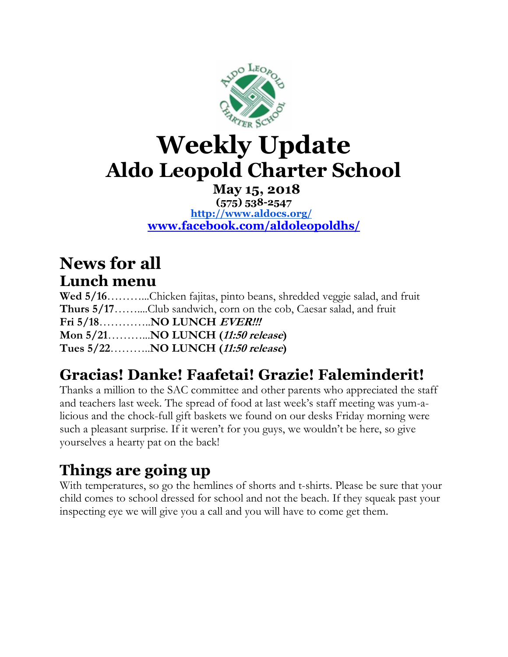

# **Weekly Update Aldo Leopold Charter School**

#### **May 15, 2018 (575) 538-2547 <http://www.aldocs.org/> [www.facebook.com/aldoleopoldhs/](http://www.facebook.com/aldoleopoldhs/)**

### **News for all Lunch menu**

Wed 5/16………...Chicken fajitas, pinto beans, shredded veggie salad, and fruit **Thurs 5/17**……....Club sandwich, corn on the cob, Caesar salad, and fruit **Fri 5/18**…………..**NO LUNCH EVER!!! Mon 5/21**………...**NO LUNCH (11:50 release) Tues 5/22**………..**NO LUNCH (11:50 release)**

## **Gracias! Danke! Faafetai! Grazie! Faleminderit!**

Thanks a million to the SAC committee and other parents who appreciated the staff and teachers last week. The spread of food at last week's staff meeting was yum-alicious and the chock-full gift baskets we found on our desks Friday morning were such a pleasant surprise. If it weren't for you guys, we wouldn't be here, so give yourselves a hearty pat on the back!

### **Things are going up**

With temperatures, so go the hemlines of shorts and t-shirts. Please be sure that your child comes to school dressed for school and not the beach. If they squeak past your inspecting eye we will give you a call and you will have to come get them.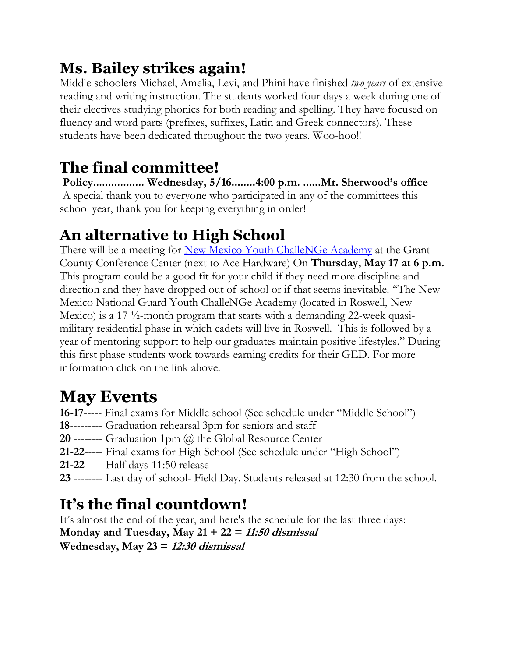## **Ms. Bailey strikes again!**

Middle schoolers Michael, Amelia, Levi, and Phini have finished *two years* of extensive reading and writing instruction. The students worked four days a week during one of their electives studying phonics for both reading and spelling. They have focused on fluency and word parts (prefixes, suffixes, Latin and Greek connectors). These students have been dedicated throughout the two years. Woo-hoo!!

## **The final committee!**

**Policy................. Wednesday, 5/16........4:00 p.m. ......Mr. Sherwood's office** A special thank you to everyone who participated in any of the committees this school year, thank you for keeping everything in order!

# **An alternative to High School**

There will be a meeting for <u>New Mexico Youth ChalleNGe Academy</u> at the Grant County Conference Center (next to Ace Hardware) On **Thursday, May 17 at 6 p.m.** This program could be a good fit for your child if they need more discipline and direction and they have dropped out of school or if that seems inevitable. "The New Mexico National Guard Youth ChalleNGe Academy (located in Roswell, New Mexico) is a 17  $\frac{1}{2}$ -month program that starts with a demanding 22-week quasimilitary residential phase in which cadets will live in Roswell. This is followed by a year of mentoring support to help our graduates maintain positive lifestyles." During this first phase students work towards earning credits for their GED. For more information click on the link above.

# **May Events**

**16-17**----- Final exams for Middle school (See schedule under "Middle School")

- **18**--------- Graduation rehearsal 3pm for seniors and staff
- **20** -------- Graduation 1pm (a) the Global Resource Center
- **21-22**----- Final exams for High School (See schedule under "High School")
- **21-22**----- Half days-11:50 release
- **23** -------- Last day of school- Field Day. Students released at 12:30 from the school.

# **It's the final countdown!**

It's almost the end of the year, and here's the schedule for the last three days: **Monday and Tuesday, May 21 + 22 = 11:50 dismissal Wednesday, May 23 = 12:30 dismissal**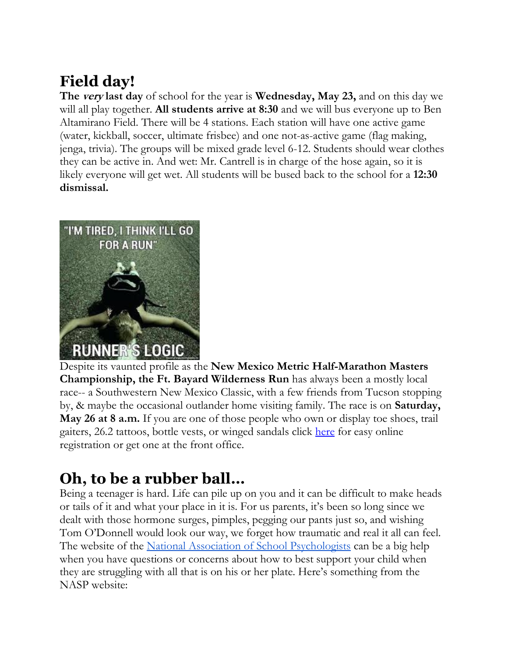## **Field day!**

**The very last day** of school for the year is **Wednesday, May 23,** and on this day we will all play together. **All students arrive at 8:30** and we will bus everyone up to Ben Altamirano Field. There will be 4 stations. Each station will have one active game (water, kickball, soccer, ultimate frisbee) and one not-as-active game (flag making, jenga, trivia). The groups will be mixed grade level 6-12. Students should wear clothes they can be active in. And wet: Mr. Cantrell is in charge of the hose again, so it is likely everyone will get wet. All students will be bused back to the school for a **12:30 dismissal.**



Despite its vaunted profile as the **New Mexico Metric Half-Marathon Masters Championship, the Ft. Bayard Wilderness Run** has always been a mostly local race-- a Southwestern New Mexico Classic, with a few friends from Tucson stopping by, & maybe the occasional outlander home visiting family. The race is on **Saturday, May 26 at 8 a.m.** If you are one of those people who own or display toe shoes, trail gaiters, 26.2 tattoos, bottle vests, or winged sandals click [here](https://raceroster.com/events/2018/17791/fort-bayard-wilderness-run-2018) for easy online registration or get one at the front office.

## **Oh, to be a rubber ball…**

Being a teenager is hard. Life can pile up on you and it can be difficult to make heads or tails of it and what your place in it is. For us parents, it's been so long since we dealt with those hormone surges, pimples, pegging our pants just so, and wishing Tom O'Donnell would look our way, we forget how traumatic and real it all can feel. The website of the [National Association of School Psychologists](https://www.nasponline.org/resources-and-publications/resources) can be a big help when you have questions or concerns about how to best support your child when they are struggling with all that is on his or her plate. Here's something from the NASP website: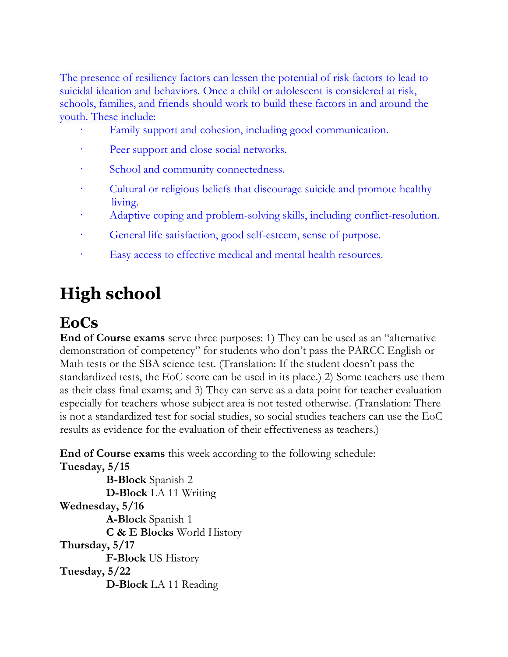The presence of resiliency factors can lessen the potential of risk factors to lead to suicidal ideation and behaviors. Once a child or adolescent is considered at risk, schools, families, and friends should work to build these factors in and around the youth. These include:

- Family support and cohesion, including good communication.
- Peer support and close social networks.
- School and community connectedness.
- Cultural or religious beliefs that discourage suicide and promote healthy living.
- Adaptive coping and problem-solving skills, including conflict-resolution.
- General life satisfaction, good self-esteem, sense of purpose.
- Easy access to effective medical and mental health resources.

# **High school**

## **EoCs**

**End of Course exams** serve three purposes: 1) They can be used as an "alternative demonstration of competency" for students who don't pass the PARCC English or Math tests or the SBA science test. (Translation: If the student doesn't pass the standardized tests, the EoC score can be used in its place.) 2) Some teachers use them as their class final exams; and 3) They can serve as a data point for teacher evaluation especially for teachers whose subject area is not tested otherwise. (Translation: There is not a standardized test for social studies, so social studies teachers can use the EoC results as evidence for the evaluation of their effectiveness as teachers.)

**End of Course exams** this week according to the following schedule: **Tuesday, 5/15**

 **B-Block** Spanish 2 **D-Block** LA 11 Writing **Wednesday, 5/16 A-Block** Spanish 1 **C & E Blocks** World History **Thursday, 5/17 F-Block** US History **Tuesday, 5/22 D-Block** LA 11 Reading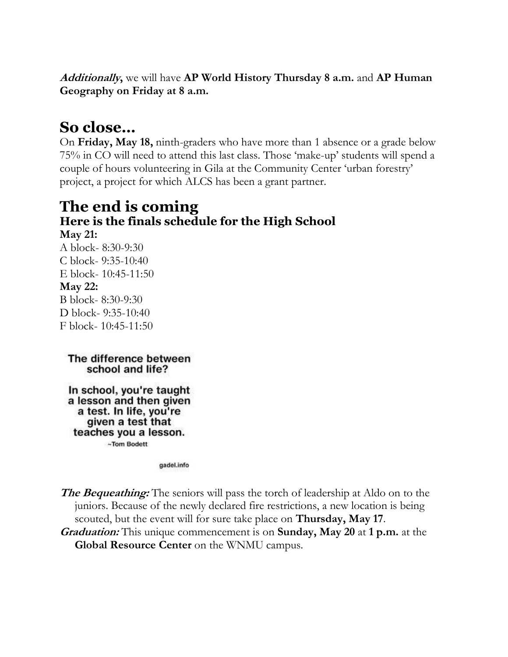**Additionally,** we will have **AP World History Thursday 8 a.m.** and **AP Human Geography on Friday at 8 a.m.**

#### **So close…**

On **Friday, May 18,** ninth-graders who have more than 1 absence or a grade below 75% in CO will need to attend this last class. Those 'make-up' students will spend a couple of hours volunteering in Gila at the Community Center 'urban forestry' project, a project for which ALCS has been a grant partner.

### **The end is coming Here is the finals schedule for the High School**

**May 21:** A block- 8:30-9:30 C block- 9:35-10:40 E block- 10:45-11:50 **May 22:** B block- 8:30-9:30 D block- 9:35-10:40 F block- 10:45-11:50

The difference between school and life?

In school, you're taught a lesson and then given a test. In life, you're given a test that teaches you a lesson. ~Tom Bodett

gadel.info

**The Bequeathing:** The seniors will pass the torch of leadership at Aldo on to the juniors. Because of the newly declared fire restrictions, a new location is being scouted, but the event will for sure take place on **Thursday, May 17**.

**Graduation:** This unique commencement is on **Sunday, May 20** at **1 p.m.** at the **Global Resource Center** on the WNMU campus.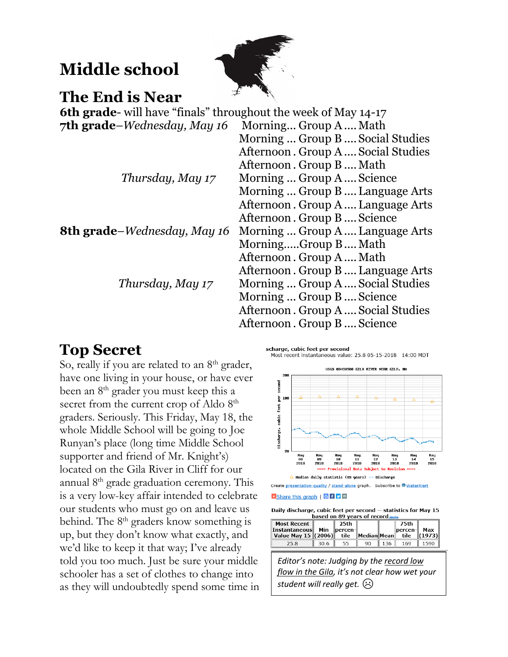## **Middle school**



#### **The End is Near**

**6th grade**- will have "finals" throughout the week of May 14-17 **7th grade**–*Wednesday, May 16* Morning... Group A....Math

|                                     | Morning  Group B  Social Studies  |
|-------------------------------------|-----------------------------------|
|                                     | Afternoon. Group A Social Studies |
|                                     | Afternoon. Group B Math           |
| Thursday, May 17                    | Morning  Group A  Science         |
|                                     | Morning  Group B  Language Arts   |
|                                     | Afternoon. Group A Language Arts  |
|                                     | Afternoon. Group B Science        |
| <b>8th grade–</b> Wednesday, May 16 | Morning  Group A Language Arts    |
|                                     | MorningGroup B Math               |
|                                     | Afternoon. Group A Math           |
|                                     | Afternoon. Group B Language Arts  |
| Thursday, May 17                    | Morning  Group A  Social Studies  |
|                                     | Morning  Group B  Science         |
|                                     | Afternoon. Group A Social Studies |
|                                     | Afternoon. Group B Science        |

#### **Top Secret**

So, really if you are related to an  $8<sup>th</sup>$  grader, have one living in your house, or have ever been an 8<sup>th</sup> grader you must keep this a secret from the current crop of Aldo 8<sup>th</sup> graders. Seriously. This Friday, May 18, the whole Middle School will be going to Joe Runyan's place (long time Middle School supporter and friend of Mr. Knight's) located on the Gila River in Cliff for our annual 8th grade graduation ceremony. This is a very low-key affair intended to celebrate our students who must go on and leave us behind. The 8<sup>th</sup> graders know something is up, but they don't know what exactly, and we'd like to keep it that way; I've already told you too much. Just be sure your middle schooler has a set of clothes to change into as they will undoubtedly spend some time in



**B** Share this graph | G B D D

Daily discharge, cubic feet per second -- statistics for May 15 based on 89 years of record mo

| <b>Most Recent</b><br>  Instantaneous <br>Value May 15 (2006) | Min  | 25th<br>  percen- <br>tile | Median Mean |     | 75th<br>$\ $ percen- $\ $<br>tile | Max<br>$\ $ (1973) $\ $ |
|---------------------------------------------------------------|------|----------------------------|-------------|-----|-----------------------------------|-------------------------|
| 25.8                                                          | 30.6 | 55                         | 90          | 136 | 169                               | 1590                    |

*Editor's note: Judging by the record low flow in the Gila, it's not clear how wet your student will really get.* ☹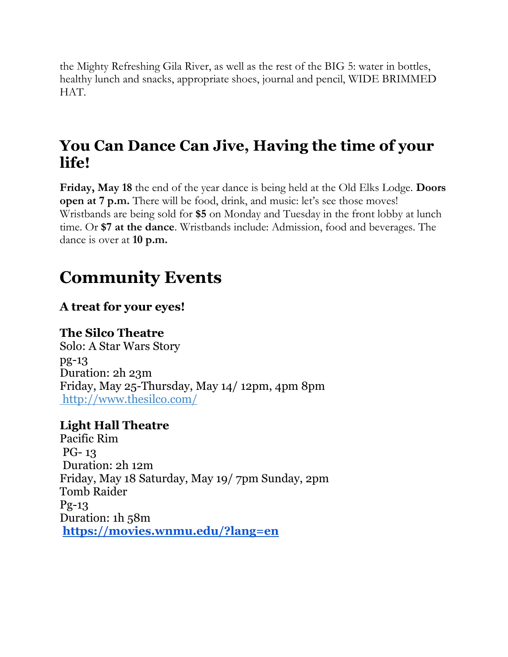the Mighty Refreshing Gila River, as well as the rest of the BIG 5: water in bottles, healthy lunch and snacks, appropriate shoes, journal and pencil, WIDE BRIMMED HAT.

### **You Can Dance Can Jive, Having the time of your life!**

**Friday, May 18** the end of the year dance is being held at the Old Elks Lodge. **Doors open at 7 p.m.** There will be food, drink, and music: let's see those moves! Wristbands are being sold for **\$5** on Monday and Tuesday in the front lobby at lunch time. Or **\$7 at the dance**. Wristbands include: Admission, food and beverages. The dance is over at **10 p.m.**

## **Community Events**

#### **A treat for your eyes!**

#### **The Silco Theatre**

Solo: A Star Wars Story pg-13 Duration: 2h 23m Friday, May 25-Thursday, May 14/ 12pm, 4pm 8pm http://www.thesilco.com/

#### **Light Hall Theatre**

Pacific Rim PG- 13 Duration: 2h 12m Friday, May 18 Saturday, May 19/ 7pm Sunday, 2pm Tomb Raider Pg-13 Duration: 1h 58m **<https://movies.wnmu.edu/?lang=en>**